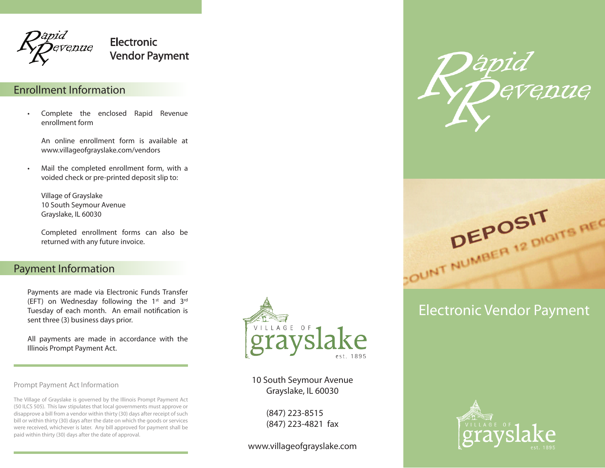

Electronic Vendor Payment

## Enrollment Information

• Complete the enclosed Rapid Revenue enrollment form

An online enrollment form is available at www.villageofgrayslake.com/vendors

• Mail the completed enrollment form, with a voided check or pre-printed deposit slip to:

Village of Grayslake 10 South Seymour Avenue Grayslake, IL 60030

Completed enrollment forms can also be returned with any future invoice.

#### Payment Information

Payments are made via Electronic Funds Transfer (EFT) on Wednesday following the  $1^{st}$  and  $3^{rd}$ Tuesday of each month. An email notification is sent three (3) business days prior.

All payments are made in accordance with the Illinois Prompt Payment Act.

Prompt Payment Act Information

The Village of Grayslake is governed by the Illinois Prompt Payment Act (50 ILCS 505). This law stipulates that local governments must approve or disapprove a bill from a vendor within thirty (30) days after receipt of such bill or within thirty (30) days after the date on which the goods or services were received, whichever is later. Any bill approved for payment shall be paid within thirty (30) days after the date of approval.



10 South Seymour Avenue Grayslake, IL 60030

> (847) 223-8515 (847) 223-4821 fax

www.villageofgrayslake.com





# Electronic Vendor Payment